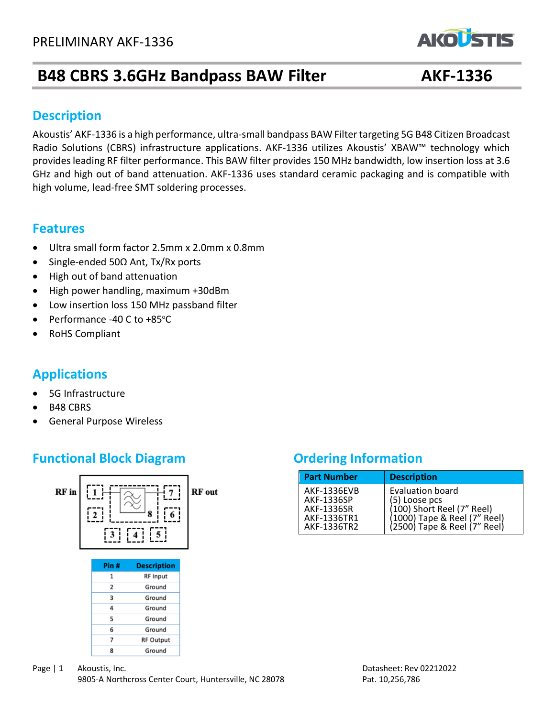# **B48 CBRS 3.6GHz Bandpass BAW Filter AKF-1336**

#### **Description**

Akoustis' AKF-1336 is a high performance, ultra-small bandpass BAW Filter targeting 5G B48 Citizen Broadcast Radio Solutions (CBRS) infrastructure applications. AKF-1336 utilizes Akoustis' XBAW™ technology which provides leading RF filter performance. This BAW filter provides 150 MHz bandwidth, low insertion loss at 3.6 GHz and high out of band attenuation. AKF-1336 uses standard ceramic packaging and is compatible with high volume, lead-free SMT soldering processes.

#### **Features**

- Ultra small form factor 2.5mm x 2.0mm x 0.8mm
- Single-ended 50Ω Ant, Tx/Rx ports
- High out of band attenuation
- High power handling, maximum +30dBm
- Low insertion loss 150 MHz passband filter
- Performance -40 C to  $+85^{\circ}$ C
- RoHS Compliant

## **Applications**

- 5G Infrastructure
- B48 CBRS
- General Purpose Wireless

## **Functional Block Diagram Diagram Ordering Information**



| <b>Part Number</b> | <b>Description</b>           |
|--------------------|------------------------------|
| <b>AKF-1336EVB</b> | <b>Evaluation board</b>      |
| AKF-1336SP         | (5) Loose pcs                |
| AKF-1336SR         | (100) Short Reel (7" Reel)   |
| AKF-1336TR1        | (1000) Tape & Reel (7" Reel) |
| AKF-1336TR2        | (2500) Tape & Reel (7" Reel) |

**AKOLSTIS** 

Page | 1 Akoustis, Inc. 2008 and the contract of the contract of the Datasheet: Rev 02212022 9805-A Northcross Center Court, Huntersville, NC 28078 Pat. 10,256,786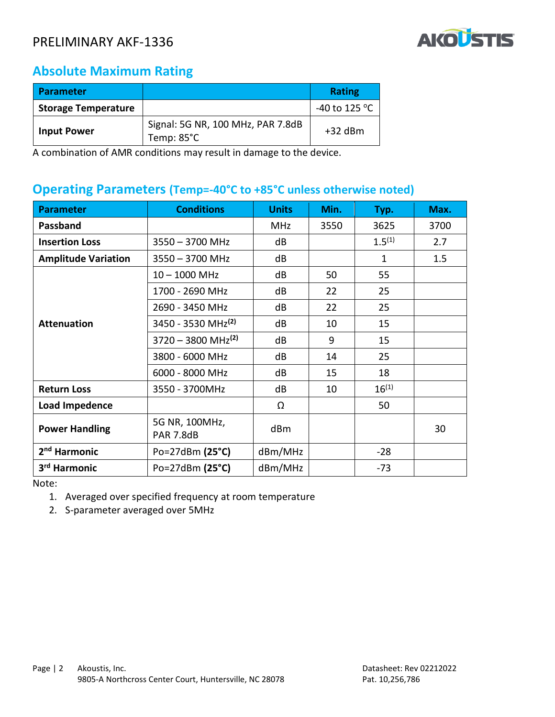

## **Absolute Maximum Rating**

| <b>Parameter</b>           |                                                           | <b>Rating</b>           |
|----------------------------|-----------------------------------------------------------|-------------------------|
| <b>Storage Temperature</b> |                                                           | -40 to 125 $^{\circ}$ C |
| <b>Input Power</b>         | Signal: 5G NR, 100 MHz, PAR 7.8dB<br>Temp: $85^{\circ}$ C | $+32$ dBm               |

A combination of AMR conditions may result in damage to the device.

#### **Operating Parameters (Temp=-40°C to +85°C unless otherwise noted)**

| <b>Parameter</b>           | <b>Conditions</b>                  | <b>Units</b> | Min. | Typ.         | Max. |
|----------------------------|------------------------------------|--------------|------|--------------|------|
| <b>Passband</b>            |                                    | <b>MHz</b>   | 3550 | 3625         | 3700 |
| <b>Insertion Loss</b>      | $3550 - 3700$ MHz                  | dB           |      | $1.5^{(1)}$  | 2.7  |
| <b>Amplitude Variation</b> | $3550 - 3700$ MHz                  | dB           |      | $\mathbf{1}$ | 1.5  |
|                            | $10 - 1000$ MHz                    | dB           | 50   | 55           |      |
| <b>Attenuation</b>         | 1700 - 2690 MHz                    | dB           | 22   | 25           |      |
|                            | 2690 - 3450 MHz                    | dB           | 22   | 25           |      |
|                            | 3450 - 3530 MHz <sup>(2)</sup>     | dB           | 10   | 15           |      |
|                            | $3720 - 3800$ MHz <sup>(2)</sup>   | dB           | 9    | 15           |      |
|                            | 3800 - 6000 MHz                    | dB           | 14   | 25           |      |
|                            | 6000 - 8000 MHz                    | dB           | 15   | 18           |      |
| <b>Return Loss</b>         | 3550 - 3700MHz                     | dB           | 10   | $16^{(1)}$   |      |
| <b>Load Impedence</b>      |                                    | Ω            |      | 50           |      |
| <b>Power Handling</b>      | 5G NR, 100MHz,<br><b>PAR 7.8dB</b> | dBm          |      |              | 30   |
| 2 <sup>nd</sup> Harmonic   | Po=27dBm (25°C)                    | dBm/MHz      |      | $-28$        |      |
| 3 <sup>rd</sup> Harmonic   | Po=27dBm (25°C)                    | dBm/MHz      |      | $-73$        |      |

Note:

- 1. Averaged over specified frequency at room temperature
- 2. S-parameter averaged over 5MHz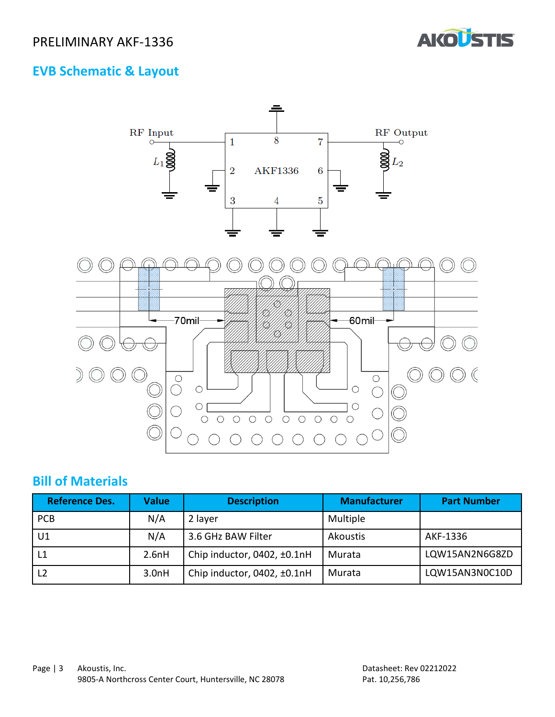

# **EVB Schematic & Layout**



### **Bill of Materials**

| <b>Reference Des.</b> | Value | <b>Description</b>          | <b>Manufacturer</b> | <b>Part Number</b> |
|-----------------------|-------|-----------------------------|---------------------|--------------------|
| <b>PCB</b>            | N/A   | 2 layer                     | Multiple            |                    |
| U1                    | N/A   | 3.6 GHz BAW Filter          | Akoustis            | AKF-1336           |
| L1                    | 2.6nH | Chip inductor, 0402, ±0.1nH | Murata              | LQW15AN2N6G8ZD     |
|                       | 3.0nH | Chip inductor, 0402, ±0.1nH | Murata              | LQW15AN3N0C10D     |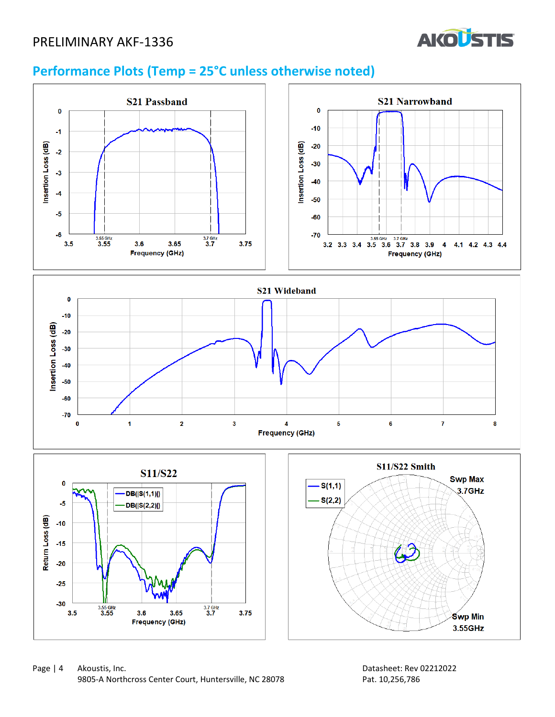

# **Performance Plots (Temp = 25°C unless otherwise noted)**

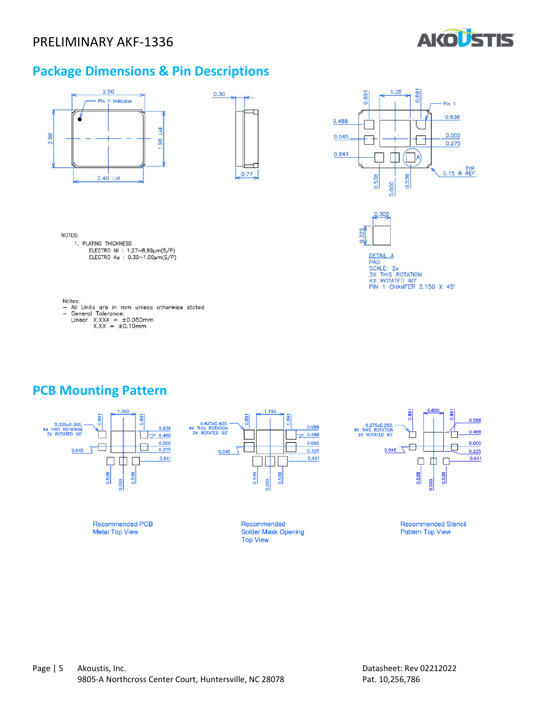

### **Package Dimensions & Pin Descriptions**



**PCB Mounting Pattern**

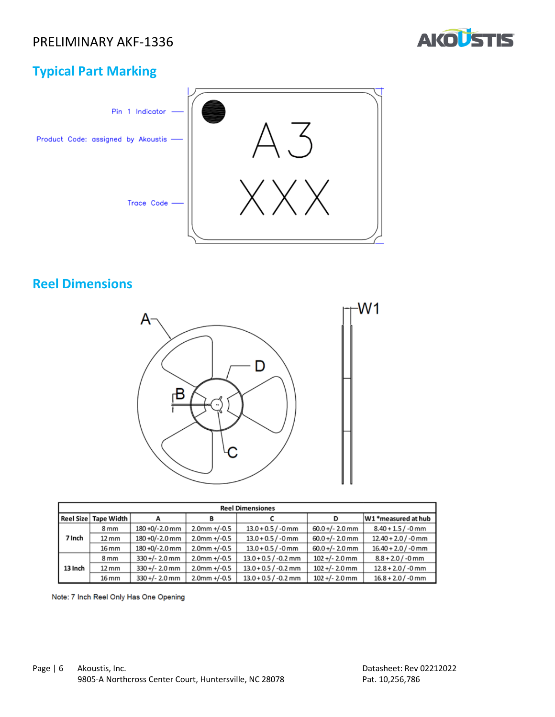

## **Typical Part Marking**



## **Reel Dimensions**



| <b>Reel Dimensiones</b> |                   |                  |                 |                        |                   |                       |
|-------------------------|-------------------|------------------|-----------------|------------------------|-------------------|-----------------------|
| <b>Reel Size</b>        | Tape Width        |                  | в               |                        | D                 | W1 *measured at hub   |
|                         | 8 <sub>mm</sub>   | 180 +0/-2.0 mm   | $2.0$ mm +/-0.5 | $13.0 + 0.5 / -0$ mm   | $60.0 +/- 2.0$ mm | $8.40 + 1.5 / -0$ mm  |
| 7 Inch                  | $12 \, \text{mm}$ | 180 +0/-2.0 mm   | $2.0$ mm +/-0.5 | $13.0 + 0.5 / -0$ mm   | $60.0 +/- 2.0$ mm | $12.40 + 2.0$ / -0 mm |
|                         | 16 mm             | 180 +0/-2.0 mm   | $2.0$ mm +/-0.5 | $13.0 + 0.5 / -0$ mm   | $60.0 +/- 2.0$ mm | $16.40 + 2.0 / -0$ mm |
| 13 Inch                 | 8 <sub>mm</sub>   | $330 +/- 2.0$ mm | $2.0$ mm +/-0.5 | $13.0 + 0.5 / -0.2$ mm | $102 +/- 2.0$ mm  | $8.8 + 2.0 / -0$ mm   |
|                         | $12 \, \text{mm}$ | $330 +/- 2.0$ mm | $2.0$ mm +/-0.5 | $13.0 + 0.5 / -0.2$ mm | $102 +/- 2.0$ mm  | $12.8 + 2.0 / -0$ mm  |
|                         | 16 mm             | $330+/- 2.0$ mm  | $2.0$ mm +/-0.5 | $13.0 + 0.5 / -0.2$ mm | $102 +/- 2.0$ mm  | $16.8 + 2.0 / -0$ mm  |

Note: 7 Inch Reel Only Has One Opening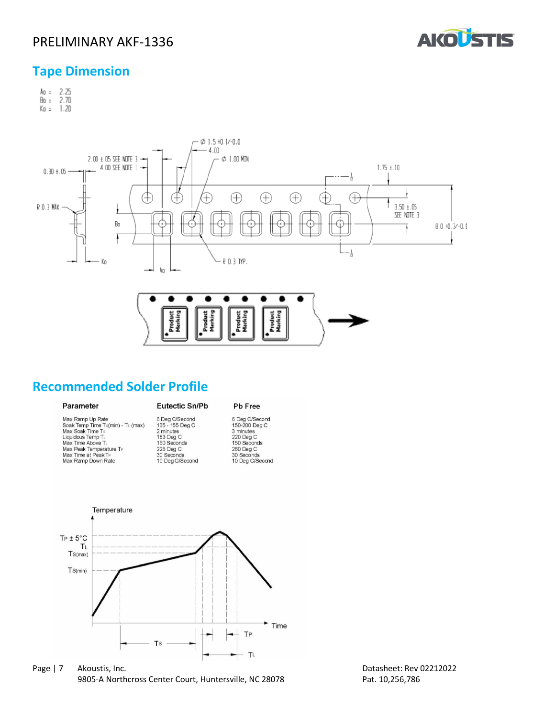

#### **Tape Dimension**

 $A_0 = 2.25$ <br>Bo = 2.70  $K_0 = 1.20$ 



### **Recommended Solder Profile**

#### Parameter

Max Ramp Up Rate Max Ramp Up Rate<br>Soak Temp Time Ts(min) - Ts (max)<br>Max Soak Time Ts<br>Liquidous Temp TL<br>Max Time Above TL Max Peak Temperature T<br>Max Time at Peak T<sub>P</sub><br>Max Ramp Down Rate

#### Eutectic Sn/Pb Pb Free

6 Deg C/Second<br>150-200 Deg C<br>3 minutes<br>220 Deg C<br>150 Seconds 260 Deg C<br>30 Seconds<br>10 Deg C/Second



6 Deg C/Second<br>135 - 155 Deg C<br>2 minutes<br>183 Deg C<br>150 Seconds

225 Deg C<br>30 Seconds<br>10 Deg C/Second

Page | 7 Akoustis, Inc. Datasheet: Rev 02212022 9805-A Northcross Center Court, Huntersville, NC 28078 Pat. 10,256,786